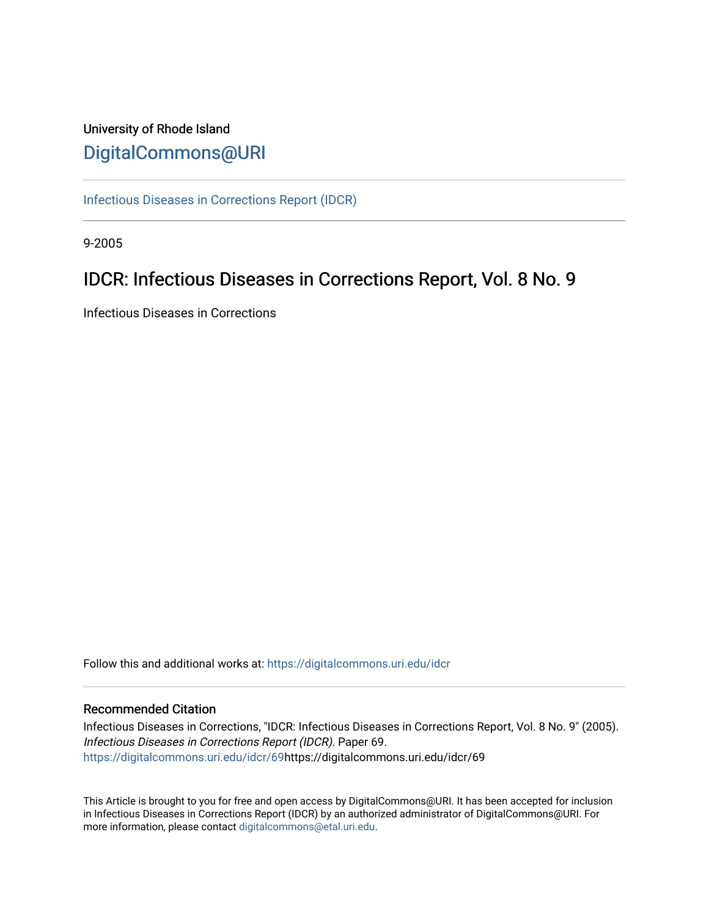## University of Rhode Island [DigitalCommons@URI](https://digitalcommons.uri.edu/)

[Infectious Diseases in Corrections Report \(IDCR\)](https://digitalcommons.uri.edu/idcr)

9-2005

## IDCR: Infectious Diseases in Corrections Report, Vol. 8 No. 9

Infectious Diseases in Corrections

Follow this and additional works at: [https://digitalcommons.uri.edu/idcr](https://digitalcommons.uri.edu/idcr?utm_source=digitalcommons.uri.edu%2Fidcr%2F69&utm_medium=PDF&utm_campaign=PDFCoverPages)

### Recommended Citation

Infectious Diseases in Corrections, "IDCR: Infectious Diseases in Corrections Report, Vol. 8 No. 9" (2005). Infectious Diseases in Corrections Report (IDCR). Paper 69. [https://digitalcommons.uri.edu/idcr/69h](https://digitalcommons.uri.edu/idcr/69?utm_source=digitalcommons.uri.edu%2Fidcr%2F69&utm_medium=PDF&utm_campaign=PDFCoverPages)ttps://digitalcommons.uri.edu/idcr/69

This Article is brought to you for free and open access by DigitalCommons@URI. It has been accepted for inclusion in Infectious Diseases in Corrections Report (IDCR) by an authorized administrator of DigitalCommons@URI. For more information, please contact [digitalcommons@etal.uri.edu.](mailto:digitalcommons@etal.uri.edu)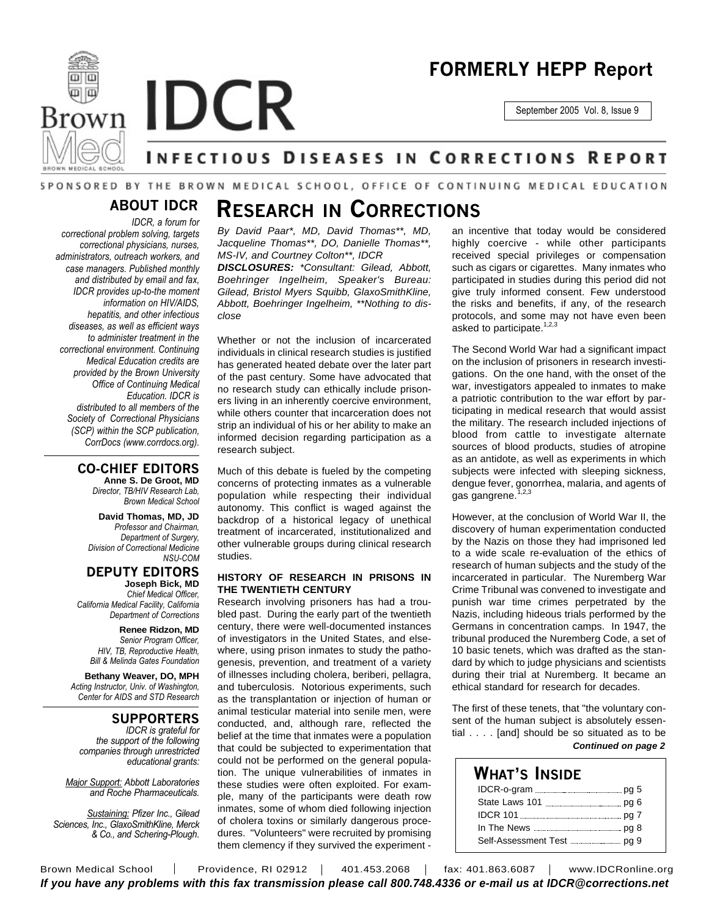

## **FORMERLY HEPP Report**

September 2005 Vol. 8, Issue 9

# **INFECTIOUS DISEASES IN CORRECTIONS REPORT**

### SPONSORED BY THE BROWN MEDICAL SCHOOL, OFFICE OF CONTINUING MEDICAL EDUCATION

### **ABOUT IDCR**

*close*

*IDCR, a forum for correctional problem solving, targets correctional physicians, nurses, administrators, outreach workers, and case managers. Published monthly and distributed by email and fax, IDCR provides up-to-the moment information on HIV/AIDS, hepatitis, and other infectious diseases, as well as efficient ways to administer treatment in the correctional environment. Continuing Medical Education credits are provided by the Brown University Office of Continuing Medical Education. IDCR is distributed to all members of the Society of Correctional Physicians (SCP) within the SCP publication, CorrDocs (www.corrdocs.org).*

### **CO-CHIEF EDITORS**

**Anne S. De Groot, MD** *Director, TB/HIV Research Lab, Brown Medical School*

**David Thomas, MD, JD** *Professor and Chairman, Department of Surgery, Division of Correctional Medicine NSU-COM*

#### **DEPUTY EDITORS Joseph Bick, MD**

*Chief Medical Officer, California Medical Facility, California Department of Corrections*

> **Renee Ridzon, MD** *Senior Program Officer, HIV, TB, Reproductive Health, Bill & Melinda Gates Foundation*

**Bethany Weaver, DO, MPH** *Acting Instructor, Univ. of Washington, Center for AIDS and STD Research*

### **SUPPORTERS**

*IDCR is grateful for the support of the following companies through unrestricted educational grants:*

*Major Support: Abbott Laboratories and Roche Pharmaceuticals.*

*Sustaining: Pfizer Inc., Gilead Sciences, Inc., GlaxoSmithKline, Merck & Co., and Schering-Plough.*

# **RESEARCH IN CORRECTIONS**

*By David Paar\*, MD, David Thomas\*\*, MD, Jacqueline Thomas\*\*, DO, Danielle Thomas\*\*, MS-IV, and Courtney Colton\*\*, IDCR DISCLOSURES: \*Consultant: Gilead, Abbott, Boehringer Ingelheim, Speaker's Bureau: Gilead, Bristol Myers Squibb, GlaxoSmithKline, Abbott, Boehringer Ingelheim, \*\*Nothing to dis-*

Whether or not the inclusion of incarcerated individuals in clinical research studies is justified has generated heated debate over the later part of the past century. Some have advocated that no research study can ethically include prisoners living in an inherently coercive environment, while others counter that incarceration does not strip an individual of his or her ability to make an informed decision regarding participation as a research subject.

Much of this debate is fueled by the competing concerns of protecting inmates as a vulnerable population while respecting their individual autonomy. This conflict is waged against the backdrop of a historical legacy of unethical treatment of incarcerated, institutionalized and other vulnerable groups during clinical research studies.

### **HISTORY OF RESEARCH IN PRISONS IN THE TWENTIETH CENTURY**

Research involving prisoners has had a troubled past. During the early part of the twentieth century, there were well-documented instances of investigators in the United States, and elsewhere, using prison inmates to study the pathogenesis, prevention, and treatment of a variety of illnesses including cholera, beriberi, pellagra, and tuberculosis. Notorious experiments, such as the transplantation or injection of human or animal testicular material into senile men, were conducted, and, although rare, reflected the belief at the time that inmates were a population that could be subjected to experimentation that could not be performed on the general population. The unique vulnerabilities of inmates in these studies were often exploited. For example, many of the participants were death row inmates, some of whom died following injection of cholera toxins or similarly dangerous procedures. "Volunteers" were recruited by promising them clemency if they survived the experiment -

an incentive that today would be considered highly coercive - while other participants received special privileges or compensation such as cigars or cigarettes. Many inmates who participated in studies during this period did not give truly informed consent. Few understood the risks and benefits, if any, of the research protocols, and some may not have even been asked to participate.<sup>1,2,3</sup>

The Second World War had a significant impact on the inclusion of prisoners in research investigations. On the one hand, with the onset of the war, investigators appealed to inmates to make a patriotic contribution to the war effort by participating in medical research that would assist the military. The research included injections of blood from cattle to investigate alternate sources of blood products, studies of atropine as an antidote, as well as experiments in which subjects were infected with sleeping sickness, dengue fever, gonorrhea, malaria, and agents of<br>ass\_gangrono\_1,2,3 gas gangrene.

However, at the conclusion of World War II, the discovery of human experimentation conducted by the Nazis on those they had imprisoned led to a wide scale re-evaluation of the ethics of research of human subjects and the study of the incarcerated in particular. The Nuremberg War Crime Tribunal was convened to investigate and punish war time crimes perpetrated by the Nazis, including hideous trials performed by the Germans in concentration camps. In 1947, the tribunal produced the Nuremberg Code, a set of 10 basic tenets, which was drafted as the standard by which to judge physicians and scientists during their trial at Nuremberg. It became an ethical standard for research for decades.

The first of these tenets, that "the voluntary consent of the human subject is absolutely essential . . . . [and] should be so situated as to be *Continued on page 2*

### **WHAT'S INSIDE**

Brown Medical School | Providence, RI 02912 | 401.453.2068 | fax: 401.863.6087 | www.IDCRonline.org *If you have any problems with this fax transmission please call 800.748.4336 or e-mail us at IDCR@corrections.net*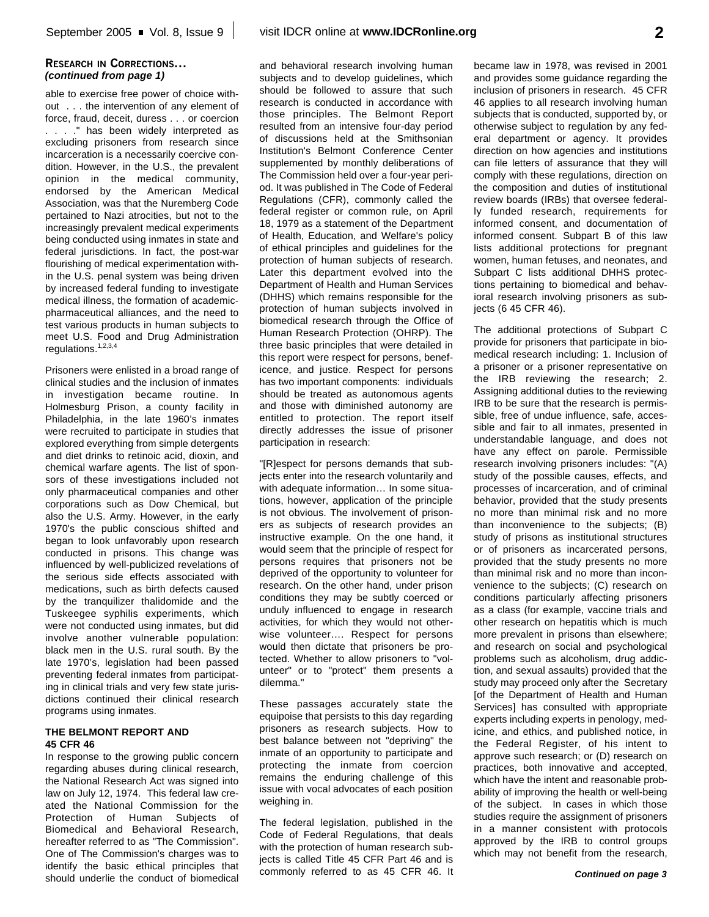### **RESEARCH IN CORRECTIONS...** *(continued from page 1)*

able to exercise free power of choice without . . . the intervention of any element of force, fraud, deceit, duress . . . or coercion . . . ." has been widely interpreted as excluding prisoners from research since incarceration is a necessarily coercive condition. However, in the U.S., the prevalent opinion in the medical community, endorsed by the American Medical Association, was that the Nuremberg Code pertained to Nazi atrocities, but not to the increasingly prevalent medical experiments being conducted using inmates in state and federal jurisdictions. In fact, the post-war flourishing of medical experimentation within the U.S. penal system was being driven by increased federal funding to investigate medical illness, the formation of academicpharmaceutical alliances, and the need to test various products in human subjects to meet U.S. Food and Drug Administration regulations.<sup>1,2,3,4</sup>

Prisoners were enlisted in a broad range of clinical studies and the inclusion of inmates in investigation became routine. In Holmesburg Prison, a county facility in Philadelphia, in the late 1960's inmates were recruited to participate in studies that explored everything from simple detergents and diet drinks to retinoic acid, dioxin, and chemical warfare agents. The list of sponsors of these investigations included not only pharmaceutical companies and other corporations such as Dow Chemical, but also the U.S. Army. However, in the early 1970's the public conscious shifted and began to look unfavorably upon research conducted in prisons. This change was influenced by well-publicized revelations of the serious side effects associated with medications, such as birth defects caused by the tranquilizer thalidomide and the Tuskeegee syphilis experiments, which were not conducted using inmates, but did involve another vulnerable population: black men in the U.S. rural south. By the late 1970's, legislation had been passed preventing federal inmates from participating in clinical trials and very few state jurisdictions continued their clinical research programs using inmates.

### **THE BELMONT REPORT AND 45 CFR 46**

In response to the growing public concern regarding abuses during clinical research, the National Research Act was signed into law on July 12, 1974. This federal law created the National Commission for the Protection of Human Subjects of Biomedical and Behavioral Research, hereafter referred to as "The Commission". One of The Commission's charges was to identify the basic ethical principles that should underlie the conduct of biomedical and behavioral research involving human subjects and to develop guidelines, which should be followed to assure that such research is conducted in accordance with those principles. The Belmont Report resulted from an intensive four-day period of discussions held at the Smithsonian Institution's Belmont Conference Center supplemented by monthly deliberations of The Commission held over a four-year period. It was published in The Code of Federal Regulations (CFR), commonly called the federal register or common rule, on April 18, 1979 as a statement of the Department of Health, Education, and Welfare's policy of ethical principles and guidelines for the protection of human subjects of research. Later this department evolved into the Department of Health and Human Services (DHHS) which remains responsible for the protection of human subjects involved in biomedical research through the Office of Human Research Protection (OHRP). The three basic principles that were detailed in this report were respect for persons, beneficence, and justice. Respect for persons has two important components: individuals should be treated as autonomous agents and those with diminished autonomy are entitled to protection. The report itself directly addresses the issue of prisoner participation in research:

"[R]espect for persons demands that subjects enter into the research voluntarily and with adequate information… In some situations, however, application of the principle is not obvious. The involvement of prisoners as subjects of research provides an instructive example. On the one hand, it would seem that the principle of respect for persons requires that prisoners not be deprived of the opportunity to volunteer for research. On the other hand, under prison conditions they may be subtly coerced or unduly influenced to engage in research activities, for which they would not otherwise volunteer…. Respect for persons would then dictate that prisoners be protected. Whether to allow prisoners to "volunteer" or to "protect" them presents a dilemma."

These passages accurately state the equipoise that persists to this day regarding prisoners as research subjects. How to best balance between not "depriving" the inmate of an opportunity to participate and protecting the inmate from coercion remains the enduring challenge of this issue with vocal advocates of each position weighing in.

The federal legislation, published in the Code of Federal Regulations, that deals with the protection of human research subjects is called Title 45 CFR Part 46 and is commonly referred to as 45 CFR 46. It became law in 1978, was revised in 2001 and provides some guidance regarding the inclusion of prisoners in research. 45 CFR 46 applies to all research involving human subjects that is conducted, supported by, or otherwise subject to regulation by any federal department or agency. It provides direction on how agencies and institutions can file letters of assurance that they will comply with these regulations, direction on the composition and duties of institutional review boards (IRBs) that oversee federally funded research, requirements for informed consent, and documentation of informed consent. Subpart B of this law lists additional protections for pregnant women, human fetuses, and neonates, and Subpart C lists additional DHHS protections pertaining to biomedical and behavioral research involving prisoners as subjects (6 45 CFR 46).

The additional protections of Subpart C provide for prisoners that participate in biomedical research including: 1. Inclusion of a prisoner or a prisoner representative on the IRB reviewing the research; 2. Assigning additional duties to the reviewing IRB to be sure that the research is permissible, free of undue influence, safe, accessible and fair to all inmates, presented in understandable language, and does not have any effect on parole. Permissible research involving prisoners includes: "(A) study of the possible causes, effects, and processes of incarceration, and of criminal behavior, provided that the study presents no more than minimal risk and no more than inconvenience to the subjects; (B) study of prisons as institutional structures or of prisoners as incarcerated persons, provided that the study presents no more than minimal risk and no more than inconvenience to the subjects; (C) research on conditions particularly affecting prisoners as a class (for example, vaccine trials and other research on hepatitis which is much more prevalent in prisons than elsewhere; and research on social and psychological problems such as alcoholism, drug addiction, and sexual assaults) provided that the study may proceed only after the Secretary [of the Department of Health and Human Services] has consulted with appropriate experts including experts in penology, medicine, and ethics, and published notice, in the Federal Register, of his intent to approve such research; or (D) research on practices, both innovative and accepted, which have the intent and reasonable probability of improving the health or well-being of the subject. In cases in which those studies require the assignment of prisoners in a manner consistent with protocols approved by the IRB to control groups which may not benefit from the research,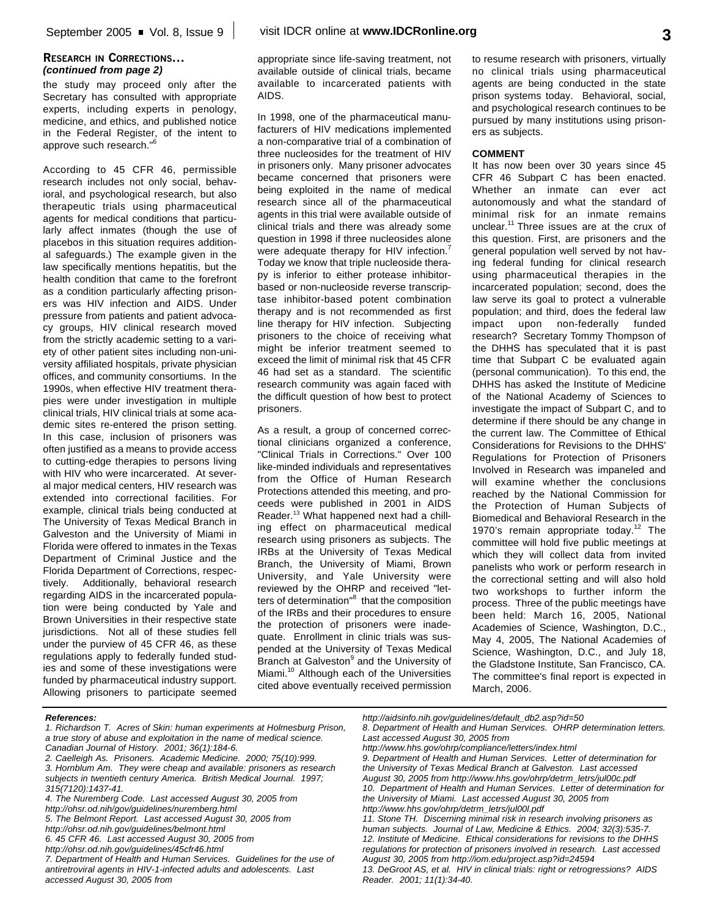### **RESEARCH IN CORRECTIONS...** *(continued from page 2)*

the study may proceed only after the Secretary has consulted with appropriate experts, including experts in penology, medicine, and ethics, and published notice in the Federal Register, of the intent to approve such research." 6

According to 45 CFR 46, permissible research includes not only social, behavioral, and psychological research, but also therapeutic trials using pharmaceutical agents for medical conditions that particularly affect inmates (though the use of placebos in this situation requires additional safeguards.) The example given in the law specifically mentions hepatitis, but the health condition that came to the forefront as a condition particularly affecting prisoners was HIV infection and AIDS. Under pressure from patients and patient advocacy groups, HIV clinical research moved from the strictly academic setting to a variety of other patient sites including non-university affiliated hospitals, private physician offices, and community consortiums. In the 1990s, when effective HIV treatment therapies were under investigation in multiple clinical trials, HIV clinical trials at some academic sites re-entered the prison setting. In this case, inclusion of prisoners was often justified as a means to provide access to cutting-edge therapies to persons living with HIV who were incarcerated. At several major medical centers, HIV research was extended into correctional facilities. For example, clinical trials being conducted at The University of Texas Medical Branch in Galveston and the University of Miami in Florida were offered to inmates in the Texas Department of Criminal Justice and the Florida Department of Corrections, respectively. Additionally, behavioral research regarding AIDS in the incarcerated population were being conducted by Yale and Brown Universities in their respective state jurisdictions. Not all of these studies fell under the purview of 45 CFR 46, as these regulations apply to federally funded studies and some of these investigations were funded by pharmaceutical industry support. Allowing prisoners to participate seemed

appropriate since life-saving treatment, not available outside of clinical trials, became available to incarcerated patients with AIDS.

In 1998, one of the pharmaceutical manufacturers of HIV medications implemented a non-comparative trial of a combination of three nucleosides for the treatment of HIV in prisoners only. Many prisoner advocates became concerned that prisoners were being exploited in the name of medical research since all of the pharmaceutical agents in this trial were available outside of clinical trials and there was already some question in 1998 if three nucleosides alone were adequate therapy for HIV infection.<sup>7</sup> Today we know that triple nucleoside therapy is inferior to either protease inhibitorbased or non-nucleoside reverse transcriptase inhibitor-based potent combination therapy and is not recommended as first line therapy for HIV infection. Subjecting prisoners to the choice of receiving what might be inferior treatment seemed to exceed the limit of minimal risk that 45 CFR 46 had set as a standard. The scientific research community was again faced with the difficult question of how best to protect prisoners.

As a result, a group of concerned correctional clinicians organized a conference, "Clinical Trials in Corrections." Over 100 like-minded individuals and representatives from the Office of Human Research Protections attended this meeting, and proceeds were published in 2001 in AIDS Reader. <sup>13</sup> What happened next had a chilling effect on pharmaceutical medical research using prisoners as subjects. The IRBs at the University of Texas Medical Branch, the University of Miami, Brown University, and Yale University were reviewed by the OHRP and received "letters of determination"<sup>8</sup> that the composition of the IRBs and their procedures to ensure the protection of prisoners were inadequate. Enrollment in clinic trials was suspended at the University of Texas Medical Branch at Galveston<sup>9</sup> and the University of Miami.<sup>10</sup> Although each of the Universities cited above eventually received permission to resume research with prisoners, virtually no clinical trials using pharmaceutical agents are being conducted in the state prison systems today. Behavioral, social, and psychological research continues to be pursued by many institutions using prisoners as subjects.

### **COMMENT**

It has now been over 30 years since 45 CFR 46 Subpart C has been enacted. Whether an inmate can ever act autonomously and what the standard of minimal risk for an inmate remains unclear.<sup>11</sup> Three issues are at the crux of this question. First, are prisoners and the general population well served by not having federal funding for clinical research using pharmaceutical therapies in the incarcerated population; second, does the law serve its goal to protect a vulnerable population; and third, does the federal law impact upon non-federally funded research? Secretary Tommy Thompson of the DHHS has speculated that it is past time that Subpart C be evaluated again (personal communication). To this end, the DHHS has asked the Institute of Medicine of the National Academy of Sciences to investigate the impact of Subpart C, and to determine if there should be any change in the current law. The Committee of Ethical Considerations for Revisions to the DHHS' Regulations for Protection of Prisoners Involved in Research was impaneled and will examine whether the conclusions reached by the National Commission for the Protection of Human Subjects of Biomedical and Behavioral Research in the 1970's remain appropriate today.<sup>12</sup> The committee will hold five public meetings at which they will collect data from invited panelists who work or perform research in the correctional setting and will also hold two workshops to further inform the process. Three of the public meetings have been held: March 16, 2005, National Academies of Science, Washington, D.C., May 4, 2005, The National Academies of Science, Washington, D.C., and July 18, the Gladstone Institute, San Francisco, CA. The committee's final report is expected in March, 2006.

*7. Department of Health and Human Services. Guidelines for the use of antiretroviral agents in HIV-1-infected adults and adolescents. Last accessed August 30, 2005 from*

*http://aidsinfo.nih.gov/guidelines/default\_db2.asp?id=50*

*References:*

*<sup>1.</sup> Richardson T. Acres of Skin: human experiments at Holmesburg Prison, a true story of abuse and exploitation in the name of medical science. Canadian Journal of History. 2001; 36(1):184-6.*

*<sup>2.</sup> Caelleigh As. Prisoners. Academic Medicine. 2000; 75(10):999. 3. Hornblum Am. They were cheap and available: prisoners as research subjects in twentieth century America. British Medical Journal. 1997; 315(7120):1437-41.*

*<sup>4.</sup> The Nuremberg Code. Last accessed August 30, 2005 from*

*http://ohsr.od.nih/gov/guidelines/nuremberg.html*

*<sup>5.</sup> The Belmont Report. Last accessed August 30, 2005 from*

*http://ohsr.od.nih.gov/guidelines/belmont.html*

*<sup>6. 45</sup> CFR 46. Last accessed August 30, 2005 from*

*http://ohsr.od.nih.gov/guidelines/45cfr46.html*

*<sup>8.</sup> Department of Health and Human Services. OHRP determination letters. Last accessed August 30, 2005 from http://www.hhs.gov/ohrp/compliance/letters/index.html*

*<sup>9.</sup> Department of Health and Human Services. Letter of determination for the University of Texas Medical Branch at Galveston. Last accessed August 30, 2005 from http://www.hhs.gov/ohrp/detrm\_letrs/jul00c.pdf 10. Department of Health and Human Services. Letter of determination for the University of Miami. Last accessed August 30, 2005 from http://www.hhs.gov/ohrp/detrm\_letrs/jul00l.pdf*

*<sup>11.</sup> Stone TH. Discerning minimal risk in research involving prisoners as human subjects. Journal of Law, Medicine & Ethics. 2004; 32(3):535-7. 12. Institute of Medicine. Ethical considerations for revisions to the DHHS regulations for protection of prisoners involved in research. Last accessed August 30, 2005 from http://iom.edu/project.asp?id=24594*

*<sup>13.</sup> DeGroot AS, et al. HIV in clinical trials: right or retrogressions? AIDS Reader. 2001; 11(1):34-40.*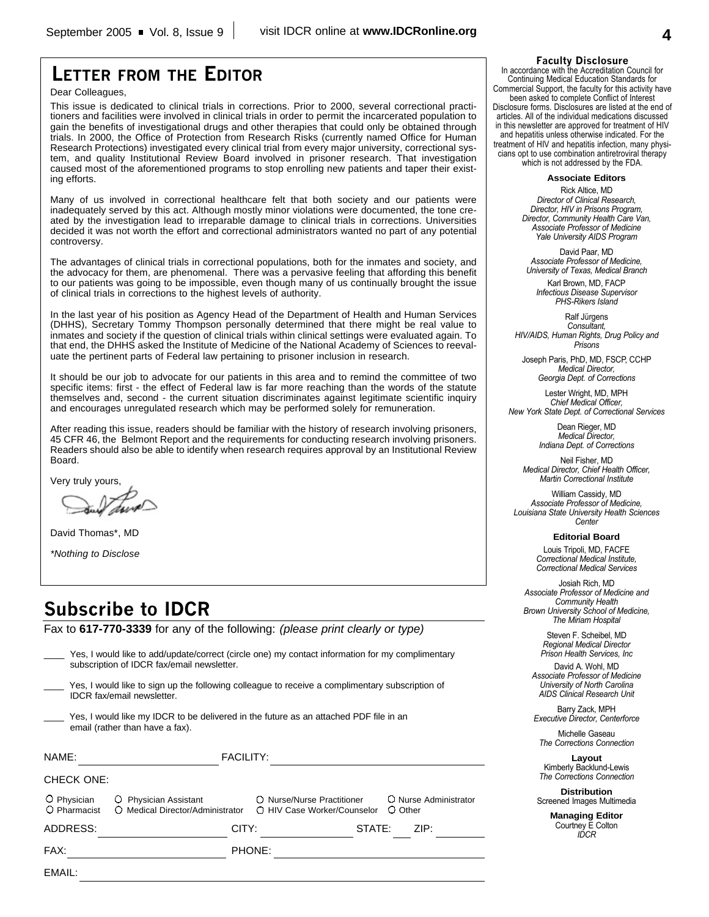## **LETTER FROM THE EDITOR**

Dear Colleagues,

This issue is dedicated to clinical trials in corrections. Prior to 2000, several correctional practitioners and facilities were involved in clinical trials in order to permit the incarcerated population to gain the benefits of investigational drugs and other therapies that could only be obtained through trials. In 2000, the Office of Protection from Research Risks (currently named Office for Human Research Protections) investigated every clinical trial from every major university, correctional system, and quality Institutional Review Board involved in prisoner research. That investigation caused most of the aforementioned programs to stop enrolling new patients and taper their existing efforts.

Many of us involved in correctional healthcare felt that both society and our patients were inadequately served by this act. Although mostly minor violations were documented, the tone created by the investigation lead to irreparable damage to clinical trials in corrections. Universities decided it was not worth the effort and correctional administrators wanted no part of any potential controversy.

The advantages of clinical trials in correctional populations, both for the inmates and society, and the advocacy for them, are phenomenal. There was a pervasive feeling that affording this benefit to our patients was going to be impossible, even though many of us continually brought the issue of clinical trials in corrections to the highest levels of authority.

In the last year of his position as Agency Head of the Department of Health and Human Services (DHHS), Secretary Tommy Thompson personally determined that there might be real value to inmates and society if the question of clinical trials within clinical settings were evaluated again. To that end, the DHHS asked the Institute of Medicine of the National Academy of Sciences to reevaluate the pertinent parts of Federal law pertaining to prisoner inclusion in research.

It should be our job to advocate for our patients in this area and to remind the committee of two specific items: first - the effect of Federal law is far more reaching than the words of the statute themselves and, second - the current situation discriminates against legitimate scientific inquiry and encourages unregulated research which may be performed solely for remuneration.

After reading this issue, readers should be familiar with the history of research involving prisoners, 45 CFR 46, the Belmont Report and the requirements for conducting research involving prisoners. Readers should also be able to identify when research requires approval by an Institutional Review Board.

Very truly yours,

David Thomas\*, MD

*\*Nothing to Disclose*

EMAIL:

## **Subscribe to IDCR**

Fax to **617-770-3339** for any of the following: *(please print clearly or type)*

|                             | Yes, I would like to add/update/correct (circle one) my contact information for my complimentary<br>subscription of IDCR fax/email newsletter. |                                                           |                                  |  |
|-----------------------------|------------------------------------------------------------------------------------------------------------------------------------------------|-----------------------------------------------------------|----------------------------------|--|
|                             | Yes, I would like to sign up the following colleague to receive a complimentary subscription of<br><b>IDCR</b> fax/email newsletter.           |                                                           |                                  |  |
|                             | Yes, I would like my IDCR to be delivered in the future as an attached PDF file in an<br>email (rather than have a fax).                       |                                                           |                                  |  |
| NAME:                       | <b>FACILITY:</b>                                                                                                                               |                                                           |                                  |  |
| CHECK ONE:                  |                                                                                                                                                |                                                           |                                  |  |
| O Physician<br>O Pharmacist | O Physician Assistant<br>O Medical Director/Administrator                                                                                      | ○ Nurse/Nurse Practitioner<br>O HIV Case Worker/Counselor | O Nurse Administrator<br>O Other |  |
| ADDRESS:                    | CITY:                                                                                                                                          |                                                           | ZIP:<br>STATE:                   |  |
| FAX:                        |                                                                                                                                                | PHONE:                                                    |                                  |  |

#### **Faculty Disclosure**

In accordance with the Accreditation Council for Continuing Medical Education Standards for Commercial Support, the faculty for this activity have been asked to complete Conflict of Interest Disclosure forms. Disclosures are listed at the end of articles. All of the individual medications discussed in this newsletter are approved for treatment of HIV and hepatitis unless otherwise indicated. For the treatment of HIV and hepatitis infection, many physicians opt to use combination antiretroviral therapy which is not addressed by the FDA.

**Associate Editors**

Rick Altice, MD *Director of Clinical Research, Director, HIV in Prisons Program, Director, Community Health Care Van, Associate Professor of Medicine Yale University AIDS Program*

David Paar, MD *Associate Professor of Medicine, University of Texas, Medical Branch*

Karl Brown, MD, FACP *Infectious Disease Supervisor PHS-Rikers Island*

Ralf Jürgens *Consultant, HIV/AIDS, Human Rights, Drug Policy and Prisons*

Joseph Paris, PhD, MD, FSCP, CCHP *Medical Director, Georgia Dept. of Corrections*

Lester Wright, MD, MPH *Chief Medical Officer, New York State Dept. of Correctional Services*

> Dean Rieger, MD *Medical Director, Indiana Dept. of Corrections*

Neil Fisher, MD *Medical Director, Chief Health Officer, Martin Correctional Institute*

William Cassidy, MD *Associate Professor of Medicine, Louisiana State University Health Sciences Center*

**Editorial Board**

Louis Tripoli, MD, FACFE *Correctional Medical Institute, Correctional Medical Services*

Josiah Rich, MD *Associate Professor of Medicine and Community Health Brown University School of Medicine, The Miriam Hospital*

> Steven F. Scheibel, MD *Regional Medical Director Prison Health Services, Inc*

David A. Wohl, MD *Associate Professor of Medicine University of North Carolina AIDS Clinical Research Unit*

Barry Zack, MPH *Executive Director, Centerforce*

Michelle Gaseau *The Corrections Connection*

**Layout** Kimberly Backlund-Lewis *The Corrections Connection*

**Distribution** Screened Images Multimedia

> **Managing Editor** Courtney E Colton *IDCR*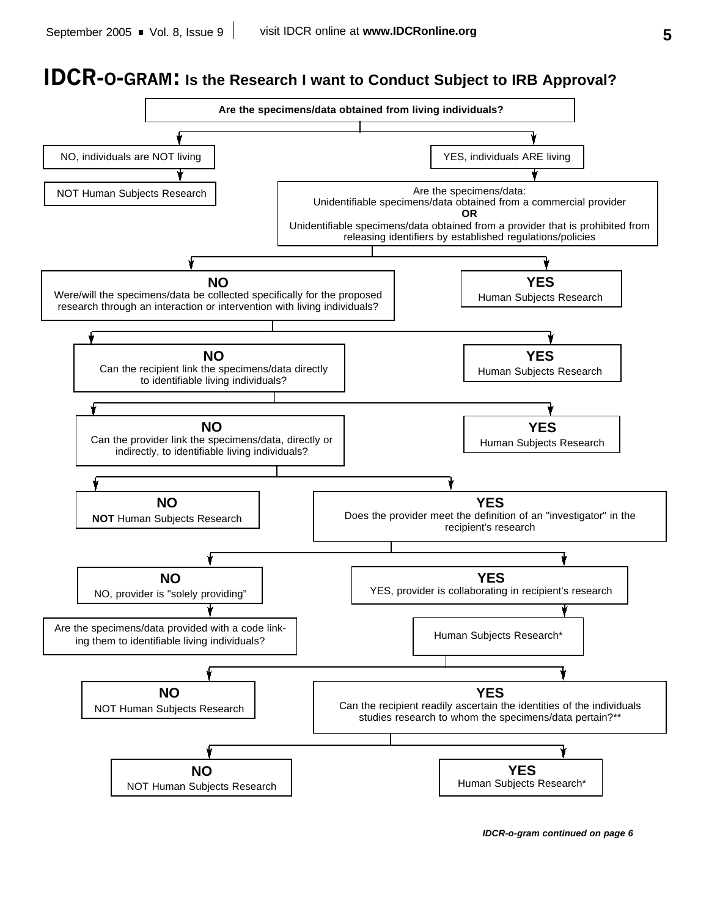# **IDCR-O-GRAM: Is the Research I want to Conduct Subject to IRB Approval?**



*IDCR-o-gram continued on page 6*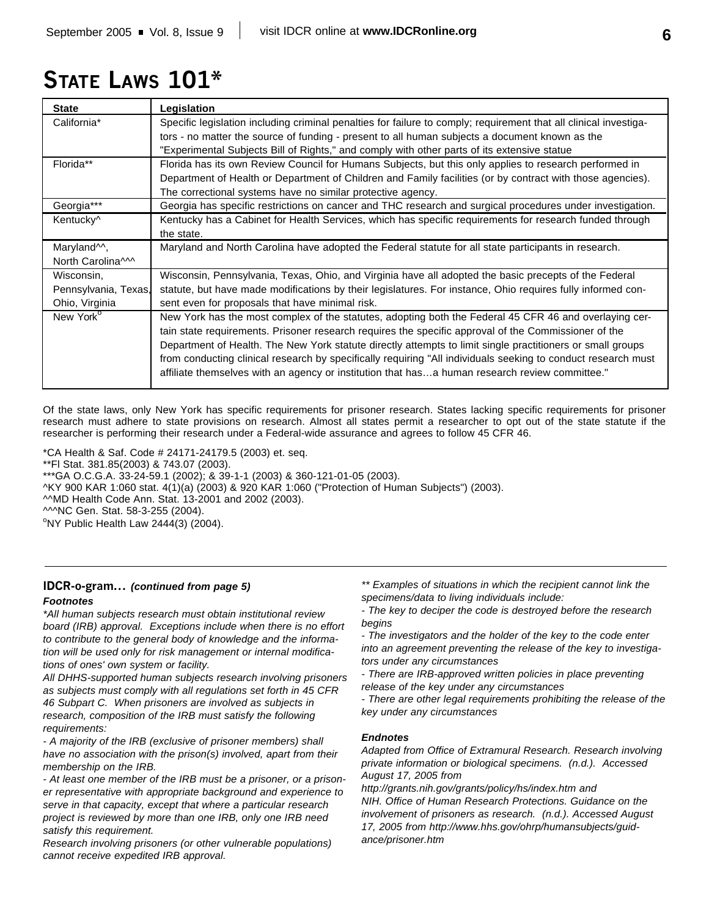# **STATE LAWS 101\***

| <b>State</b>            | Legislation                                                                                                       |
|-------------------------|-------------------------------------------------------------------------------------------------------------------|
| California*             | Specific legislation including criminal penalties for failure to comply; requirement that all clinical investiga- |
|                         | tors - no matter the source of funding - present to all human subjects a document known as the                    |
|                         | "Experimental Subjects Bill of Rights," and comply with other parts of its extensive statue                       |
| Florida**               | Florida has its own Review Council for Humans Subjects, but this only applies to research performed in            |
|                         | Department of Health or Department of Children and Family facilities (or by contract with those agencies).        |
|                         | The correctional systems have no similar protective agency.                                                       |
| Georgia***              | Georgia has specific restrictions on cancer and THC research and surgical procedures under investigation.         |
| Kentucky <sup>^</sup>   | Kentucky has a Cabinet for Health Services, which has specific requirements for research funded through           |
|                         | the state.                                                                                                        |
| Maryland <sup>1</sup> , | Maryland and North Carolina have adopted the Federal statute for all state participants in research.              |
| North Carolina^^^       |                                                                                                                   |
| Wisconsin,              | Wisconsin, Pennsylvania, Texas, Ohio, and Virginia have all adopted the basic precepts of the Federal             |
| Pennsylvania, Texas,    | statute, but have made modifications by their legislatures. For instance, Ohio requires fully informed con-       |
| Ohio, Virginia          | sent even for proposals that have minimal risk.                                                                   |
| New York <sup>o</sup>   | New York has the most complex of the statutes, adopting both the Federal 45 CFR 46 and overlaying cer-            |
|                         | tain state requirements. Prisoner research requires the specific approval of the Commissioner of the              |
|                         | Department of Health. The New York statute directly attempts to limit single practitioners or small groups        |
|                         | from conducting clinical research by specifically requiring "All individuals seeking to conduct research must     |
|                         | affiliate themselves with an agency or institution that hasa human research review committee."                    |
|                         |                                                                                                                   |

Of the state laws, only New York has specific requirements for prisoner research. States lacking specific requirements for prisoner research must adhere to state provisions on research. Almost all states permit a researcher to opt out of the state statute if the researcher is performing their research under a Federal-wide assurance and agrees to follow 45 CFR 46.

\*CA Health & Saf. Code # 24171-24179.5 (2003) et. seq. \*\*Fl Stat. 381.85(2003) & 743.07 (2003). \*\*\*GA O.C.G.A. 33-24-59.1 (2002); & 39-1-1 (2003) & 360-121-01-05 (2003). ^KY 900 KAR 1:060 stat. 4(1)(a) (2003) & 920 KAR 1:060 ("Protection of Human Subjects") (2003). ^^MD Health Code Ann. Stat. 13-2001 and 2002 (2003). ^^^NC Gen. Stat. 58-3-255 (2004).  $\textdegree$ NY Public Health Law 2444(3) (2004).

### *Footnotes* **IDCR-o-gram...** *(continued from page 5)*

*\*All human subjects research must obtain institutional review board (IRB) approval. Exceptions include when there is no effort to contribute to the general body of knowledge and the information will be used only for risk management or internal modifications of ones' own system or facility.*

*All DHHS-supported human subjects research involving prisoners as subjects must comply with all regulations set forth in 45 CFR 46 Subpart C. When prisoners are involved as subjects in research, composition of the IRB must satisfy the following requirements:*

*- A majority of the IRB (exclusive of prisoner members) shall have no association with the prison(s) involved, apart from their membership on the IRB.*

*- At least one member of the IRB must be a prisoner, or a prisoner representative with appropriate background and experience to serve in that capacity, except that where a particular research project is reviewed by more than one IRB, only one IRB need satisfy this requirement.*

*Research involving prisoners (or other vulnerable populations) cannot receive expedited IRB approval.*

*\*\* Examples of situations in which the recipient cannot link the specimens/data to living individuals include:*

*- The key to deciper the code is destroyed before the research begins*

*- The investigators and the holder of the key to the code enter into an agreement preventing the release of the key to investigators under any circumstances*

*- There are IRB-approved written policies in place preventing release of the key under any circumstances*

*- There are other legal requirements prohibiting the release of the key under any circumstances*

### *Endnotes*

*Adapted from Office of Extramural Research. Research involving private information or biological specimens. (n.d.). Accessed August 17, 2005 from*

*http://grants.nih.gov/grants/policy/hs/index.htm and NIH. Office of Human Research Protections. Guidance on the involvement of prisoners as research. (n.d.). Accessed August 17, 2005 from http://www.hhs.gov/ohrp/humansubjects/guidance/prisoner.htm*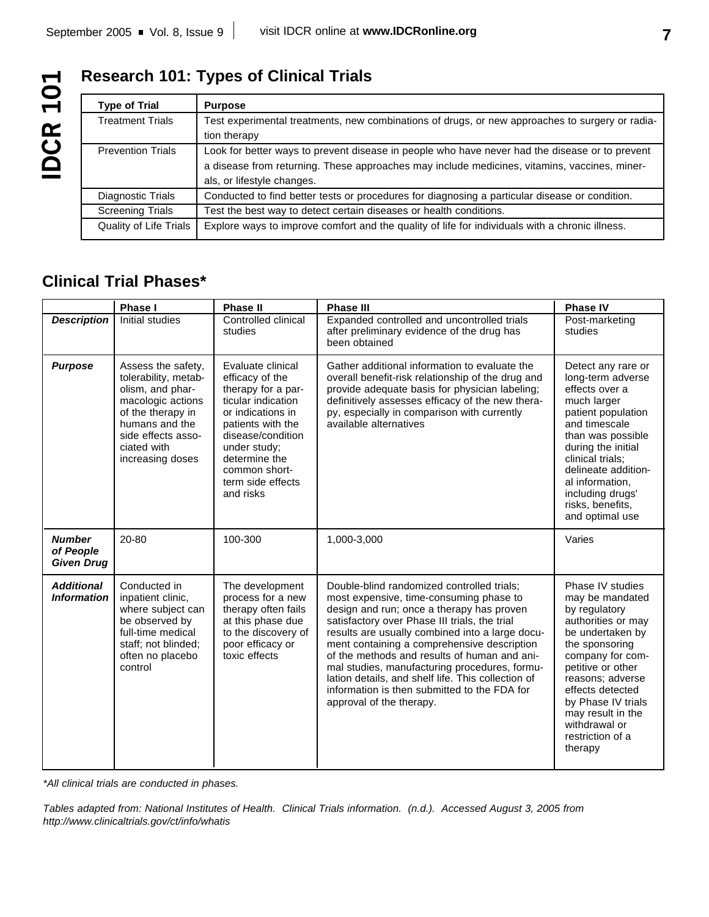## **Research 101: Types of Clinical Trials**

| <b>Type of Trial</b>     | <b>Purpose</b>                                                                                  |
|--------------------------|-------------------------------------------------------------------------------------------------|
| <b>Treatment Trials</b>  | Test experimental treatments, new combinations of drugs, or new approaches to surgery or radia- |
|                          | tion therapy                                                                                    |
| <b>Prevention Trials</b> | Look for better ways to prevent disease in people who have never had the disease or to prevent  |
|                          | a disease from returning. These approaches may include medicines, vitamins, vaccines, miner-    |
|                          | als, or lifestyle changes.                                                                      |
| Diagnostic Trials        | Conducted to find better tests or procedures for diagnosing a particular disease or condition.  |
| <b>Screening Trials</b>  | Test the best way to detect certain diseases or health conditions.                              |
| Quality of Life Trials   | Explore ways to improve comfort and the quality of life for individuals with a chronic illness. |

## **Clinical Trial Phases\***

|                                                 | Phase I                                                                                                                                                                             | <b>Phase II</b>                                                                                                                                                                                                                     | <b>Phase III</b>                                                                                                                                                                                                                                                                                                                                                                                                                                                                                                         | <b>Phase IV</b>                                                                                                                                                                                                                                                                              |
|-------------------------------------------------|-------------------------------------------------------------------------------------------------------------------------------------------------------------------------------------|-------------------------------------------------------------------------------------------------------------------------------------------------------------------------------------------------------------------------------------|--------------------------------------------------------------------------------------------------------------------------------------------------------------------------------------------------------------------------------------------------------------------------------------------------------------------------------------------------------------------------------------------------------------------------------------------------------------------------------------------------------------------------|----------------------------------------------------------------------------------------------------------------------------------------------------------------------------------------------------------------------------------------------------------------------------------------------|
| <b>Description</b>                              | Initial studies                                                                                                                                                                     | Controlled clinical<br>studies                                                                                                                                                                                                      | Expanded controlled and uncontrolled trials<br>after preliminary evidence of the drug has<br>been obtained                                                                                                                                                                                                                                                                                                                                                                                                               | Post-marketing<br>studies                                                                                                                                                                                                                                                                    |
| <b>Purpose</b>                                  | Assess the safety,<br>tolerability, metab-<br>olism, and phar-<br>macologic actions<br>of the therapy in<br>humans and the<br>side effects asso-<br>ciated with<br>increasing doses | Evaluate clinical<br>efficacy of the<br>therapy for a par-<br>ticular indication<br>or indications in<br>patients with the<br>disease/condition<br>under study;<br>determine the<br>common short-<br>term side effects<br>and risks | Gather additional information to evaluate the<br>overall benefit-risk relationship of the drug and<br>provide adequate basis for physician labeling;<br>definitively assesses efficacy of the new thera-<br>py, especially in comparison with currently<br>available alternatives                                                                                                                                                                                                                                        | Detect any rare or<br>long-term adverse<br>effects over a<br>much larger<br>patient population<br>and timescale<br>than was possible<br>during the initial<br>clinical trials;<br>delineate addition-<br>al information.<br>including drugs'<br>risks, benefits,<br>and optimal use          |
| <b>Number</b><br>of People<br><b>Given Drug</b> | 20-80                                                                                                                                                                               | 100-300                                                                                                                                                                                                                             | 1,000-3,000                                                                                                                                                                                                                                                                                                                                                                                                                                                                                                              | Varies                                                                                                                                                                                                                                                                                       |
| <b>Additional</b><br><b>Information</b>         | Conducted in<br>inpatient clinic,<br>where subject can<br>be observed by<br>full-time medical<br>staff; not blinded;<br>often no placebo<br>control                                 | The development<br>process for a new<br>therapy often fails<br>at this phase due<br>to the discovery of<br>poor efficacy or<br>toxic effects                                                                                        | Double-blind randomized controlled trials;<br>most expensive, time-consuming phase to<br>design and run; once a therapy has proven<br>satisfactory over Phase III trials, the trial<br>results are usually combined into a large docu-<br>ment containing a comprehensive description<br>of the methods and results of human and ani-<br>mal studies, manufacturing procedures, formu-<br>lation details, and shelf life. This collection of<br>information is then submitted to the FDA for<br>approval of the therapy. | Phase IV studies<br>may be mandated<br>by regulatory<br>authorities or may<br>be undertaken by<br>the sponsoring<br>company for com-<br>petitive or other<br>reasons; adverse<br>effects detected<br>by Phase IV trials<br>may result in the<br>withdrawal or<br>restriction of a<br>therapy |

*\*All clinical trials are conducted in phases.*

*Tables adapted from: National Institutes of Health. Clinical Trials information. (n.d.). Accessed August 3, 2005 from http://www.clinicaltrials.gov/ct/info/whatis*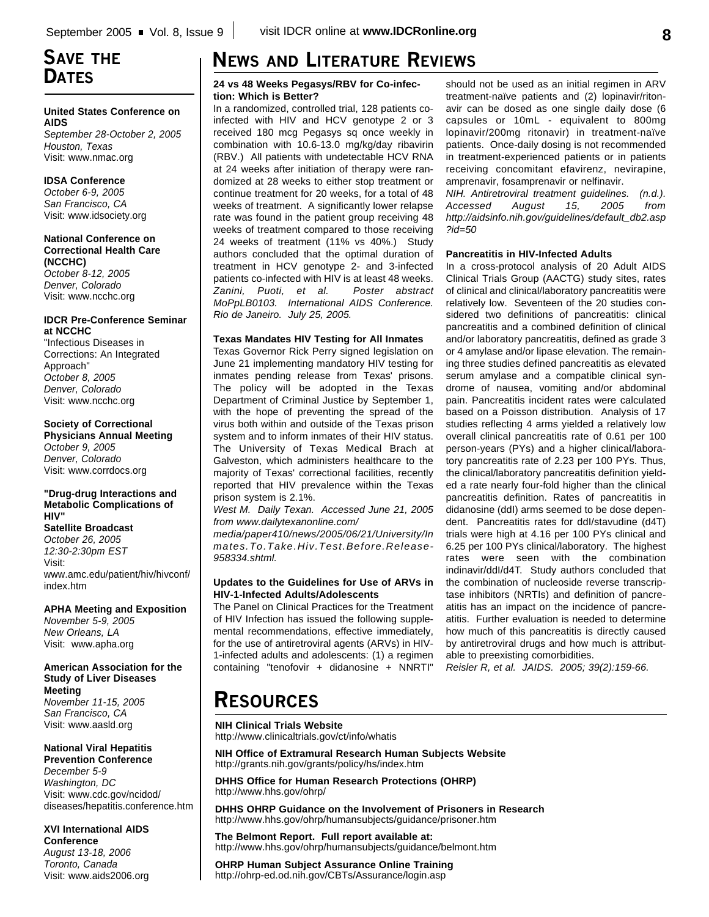## **SAVE THE DATES**

### **United States Conference on AIDS**

*September 28-October 2, 2005 Houston, Texas* Visit: www.nmac.org

### **IDSA Conference**

*October 6-9, 2005 San Francisco, CA* Visit: www.idsociety.org

### **National Conference on Correctional Health Care (NCCHC)**

*October 8-12, 2005 Denver, Colorado* Visit: www.ncchc.org

### **IDCR Pre-Conference Seminar at NCCHC**

"Infectious Diseases in Corrections: An Integrated Approach" *October 8, 2005 Denver, Colorado* Visit: www.ncchc.org

### **Society of Correctional**

**Physicians Annual Meeting** *October 9, 2005 Denver, Colorado* Visit: www.corrdocs.org

#### **"Drug-drug Interactions and Metabolic Complications of HIV"**

**Satellite Broadcast** *October 26, 2005 12:30-2:30pm EST* Visit: www.amc.edu/patient/hiv/hivconf/ index.htm

#### **APHA Meeting and Exposition** *November 5-9, 2005*

*New Orleans, LA* Visit: www.apha.org

### **American Association for the Study of Liver Diseases Meeting** *November 11-15, 2005*

*San Francisco, CA* Visit: www.aasld.org

### **National Viral Hepatitis**

**Prevention Conference** *December 5-9 Washington, DC* Visit: www.cdc.gov/ncidod/ diseases/hepatitis.conference.htm

### **XVI International AIDS Conference**

*August 13-18, 2006 Toronto, Canada* Visit: www.aids2006.org

# **NEWS AND LITERATURE REVIEWS**

### **24 vs 48 Weeks Pegasys/RBV for Co-infection: Which is Better?**

In a randomized, controlled trial, 128 patients coinfected with HIV and HCV genotype 2 or 3 received 180 mcg Pegasys sq once weekly in combination with 10.6-13.0 mg/kg/day ribavirin (RBV.) All patients with undetectable HCV RNA at 24 weeks after initiation of therapy were randomized at 28 weeks to either stop treatment or continue treatment for 20 weeks, for a total of 48 weeks of treatment. A significantly lower relapse rate was found in the patient group receiving 48 weeks of treatment compared to those receiving 24 weeks of treatment (11% vs 40%.) Study authors concluded that the optimal duration of treatment in HCV genotype 2- and 3-infected patients co-infected with HIV is at least 48 weeks. *Zanini, Puoti, et al. Poster abstract MoPpLB0103. International AIDS Conference. Rio de Janeiro. July 25, 2005.*

### **Texas Mandates HIV Testing for All Inmates**

Texas Governor Rick Perry signed legislation on June 21 implementing mandatory HIV testing for inmates pending release from Texas' prisons. The policy will be adopted in the Texas Department of Criminal Justice by September 1, with the hope of preventing the spread of the virus both within and outside of the Texas prison system and to inform inmates of their HIV status. The University of Texas Medical Brach at Galveston, which administers healthcare to the majority of Texas' correctional facilities, recently reported that HIV prevalence within the Texas prison system is 2.1%.

*West M. Daily Texan. Accessed June 21, 2005 from www.dailytexanonline.com/*

*media/paper410/news/2005/06/21/University/In mates.To.Take.Hiv.Test.Before.Release-958334.shtml.*

### **Updates to the Guidelines for Use of ARVs in HIV-1-Infected Adults/Adolescents**

The Panel on Clinical Practices for the Treatment of HIV Infection has issued the following supplemental recommendations, effective immediately, for the use of antiretroviral agents (ARVs) in HIV-1-infected adults and adolescents: (1) a regimen containing "tenofovir + didanosine + NNRTI"

should not be used as an initial regimen in ARV treatment-naïve patients and (2) lopinavir/ritonavir can be dosed as one single daily dose (6 capsules or 10mL - equivalent to 800mg lopinavir/200mg ritonavir) in treatment-naïve patients. Once-daily dosing is not recommended in treatment-experienced patients or in patients receiving concomitant efavirenz, nevirapine, amprenavir, fosamprenavir or nelfinavir.

*NIH. Antiretroviral treatment guidelines. (n.d.). Accessed August 15, 2005 from http://aidsinfo.nih.gov/guidelines/default\_db2.asp ?id=50*

### **Pancreatitis in HIV-Infected Adults**

In a cross-protocol analysis of 20 Adult AIDS Clinical Trials Group (AACTG) study sites, rates of clinical and clinical/laboratory pancreatitis were relatively low. Seventeen of the 20 studies considered two definitions of pancreatitis: clinical pancreatitis and a combined definition of clinical and/or laboratory pancreatitis, defined as grade 3 or 4 amylase and/or lipase elevation. The remaining three studies defined pancreatitis as elevated serum amylase and a compatible clinical syndrome of nausea, vomiting and/or abdominal pain. Pancreatitis incident rates were calculated based on a Poisson distribution. Analysis of 17 studies reflecting 4 arms yielded a relatively low overall clinical pancreatitis rate of 0.61 per 100 person-years (PYs) and a higher clinical/laboratory pancreatitis rate of 2.23 per 100 PYs. Thus, the clinical/laboratory pancreatitis definition yielded a rate nearly four-fold higher than the clinical pancreatitis definition. Rates of pancreatitis in didanosine (ddI) arms seemed to be dose dependent. Pancreatitis rates for ddI/stavudine (d4T) trials were high at 4.16 per 100 PYs clinical and 6.25 per 100 PYs clinical/laboratory. The highest rates were seen with the combination indinavir/ddI/d4T. Study authors concluded that the combination of nucleoside reverse transcriptase inhibitors (NRTIs) and definition of pancreatitis has an impact on the incidence of pancreatitis. Further evaluation is needed to determine how much of this pancreatitis is directly caused by antiretroviral drugs and how much is attributable to preexisting comorbidities.

*Reisler R, et al. JAIDS. 2005; 39(2):159-66.*

# **RESOURCES**

#### **NIH Clinical Trials Website** http://www.clinicaltrials.gov/ct/info/whatis

**NIH Office of Extramural Research Human Subjects Website** http://grants.nih.gov/grants/policy/hs/index.htm

**DHHS Office for Human Research Protections (OHRP)** http://www.hhs.gov/ohrp/

**DHHS OHRP Guidance on the Involvement of Prisoners in Research** http://www.hhs.gov/ohrp/humansubjects/guidance/prisoner.htm

**The Belmont Report. Full report available at:** http://www.hhs.gov/ohrp/humansubjects/guidance/belmont.htm

**OHRP Human Subject Assurance Online Training** http://ohrp-ed.od.nih.gov/CBTs/Assurance/login.asp